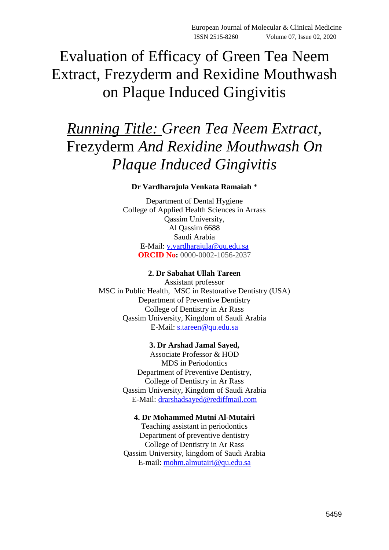Evaluation of Efficacy of Green Tea Neem Extract, Frezyderm and Rexidine Mouthwash on Plaque Induced Gingivitis

# *Running Title: Green Tea Neem Extract,*  Frezyderm *And Rexidine Mouthwash On Plaque Induced Gingivitis*

# **Dr Vardharajula Venkata Ramaiah** \*

Department of Dental Hygiene College of Applied Health Sciences in Arrass Qassim University, Al Qassim 6688 Saudi Arabia E-Mail: v.vardharajula@qu.edu.sa **ORCID No:** 0000-0002-1056-2037

# **2. Dr Sabahat Ullah Tareen**

Assistant professor MSC in Public Health, MSC in Restorative Dentistry (USA) Department of Preventive Dentistry College of Dentistry in Ar Rass Qassim University, Kingdom of Saudi Arabia E-Mail: s.tareen@qu.edu.sa

# **3. Dr Arshad Jamal Sayed,**

Associate Professor & HOD MDS in Periodontics Department of Preventive Dentistry, College of Dentistry in Ar Rass Qassim University, Kingdom of Saudi Arabia E-Mail: drarshadsayed@rediffmail.com

# **4. Dr Mohammed Mutni Al-Mutairi**

Teaching assistant in periodontics Department of preventive dentistry College of Dentistry in Ar Rass Qassim University, kingdom of Saudi Arabia E-mail: [mohm.almutairi@qu.edu.sa](mailto:mohm.almutairi@qu.edu.sa)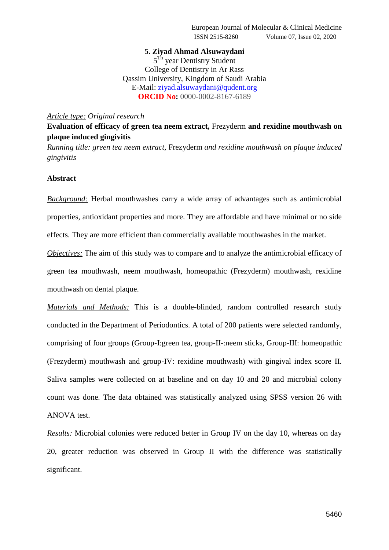# **5. Ziyad Ahmad Alsuwaydani**

5<sup>Th</sup> year Dentistry Student College of Dentistry in Ar Rass Qassim University, Kingdom of Saudi Arabia E-Mail: ziyad.alsuwaydani@qudent.org **ORCID No:** 0000-0002-8167-6189

#### *Article type: Original research*

**Evaluation of efficacy of green tea neem extract,** Frezyderm **and rexidine mouthwash on plaque induced gingivitis**

*Running title: green tea neem extract,* Frezyderm *and rexidine mouthwash on plaque induced gingivitis*

# **Abstract**

*Background:* Herbal mouthwashes carry a wide array of advantages such as antimicrobial properties, antioxidant properties and more. They are affordable and have minimal or no side effects. They are more efficient than commercially available mouthwashes in the market.

*Objectives:* The aim of this study was to compare and to analyze the antimicrobial efficacy of green tea mouthwash, neem mouthwash, homeopathic (Frezyderm) mouthwash, rexidine mouthwash on dental plaque.

*Materials and Methods:* This is a double-blinded, random controlled research study conducted in the Department of Periodontics. A total of 200 patients were selected randomly, comprising of four groups (Group-I:green tea, group-II-:neem sticks, Group-III: homeopathic (Frezyderm) mouthwash and group-IV: rexidine mouthwash) with gingival index score II. Saliva samples were collected on at baseline and on day 10 and 20 and microbial colony count was done. The data obtained was statistically analyzed using SPSS version 26 with ANOVA test.

*Results:* Microbial colonies were reduced better in Group IV on the day 10, whereas on day 20, greater reduction was observed in Group II with the difference was statistically significant.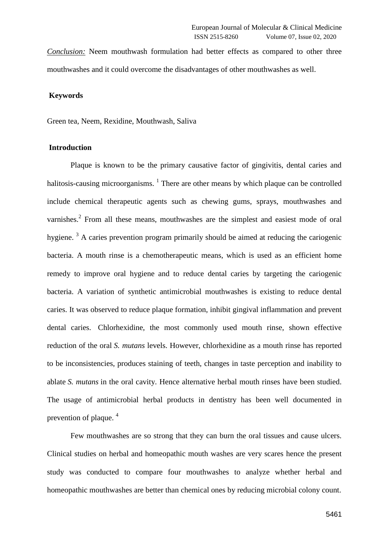*Conclusion:* Neem mouthwash formulation had better effects as compared to other three mouthwashes and it could overcome the disadvantages of other mouthwashes as well.

#### **Keywords**

Green tea, Neem, Rexidine, Mouthwash, Saliva

#### **Introduction**

Plaque is known to be the primary causative factor of gingivitis, dental caries and halitosis-causing microorganisms.  $<sup>1</sup>$  There are other means by which plaque can be controlled</sup> include chemical therapeutic agents such as chewing gums, sprays, mouthwashes and varnishes.<sup>2</sup> From all these means, mouthwashes are the simplest and easiest mode of oral hygiene.  $3$  A caries prevention program primarily should be aimed at reducing the cariogenic bacteria. A mouth rinse is a chemotherapeutic means, which is used as an efficient home remedy to improve oral hygiene and to reduce dental caries by targeting the cariogenic bacteria. A variation of synthetic antimicrobial mouthwashes is existing to reduce dental caries. It was observed to reduce plaque formation, inhibit gingival inflammation and prevent dental caries. Chlorhexidine, the most commonly used mouth rinse, shown effective reduction of the oral *S. mutans* levels. However, chlorhexidine as a mouth rinse has reported to be inconsistencies, produces staining of teeth, changes in taste perception and inability to ablate *S. mutans* in the oral cavity. Hence alternative herbal mouth rinses have been studied. The usage of antimicrobial herbal products in dentistry has been well documented in prevention of plaque. <sup>4</sup>

Few mouthwashes are so strong that they can burn the oral tissues and cause ulcers. Clinical studies on herbal and homeopathic mouth washes are very scares hence the present study was conducted to compare four mouthwashes to analyze whether herbal and homeopathic mouthwashes are better than chemical ones by reducing microbial colony count.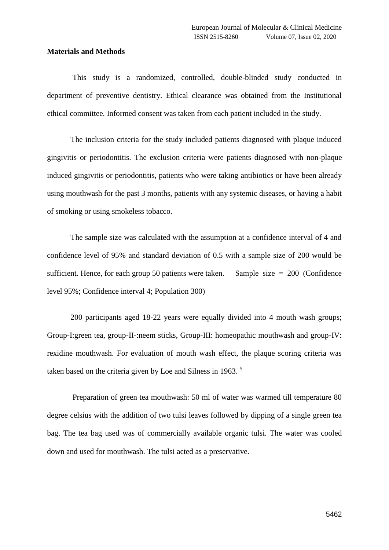#### **Materials and Methods**

This study is a randomized, controlled, double-blinded study conducted in department of preventive dentistry. Ethical clearance was obtained from the Institutional ethical committee. Informed consent was taken from each patient included in the study.

The inclusion criteria for the study included patients diagnosed with plaque induced gingivitis or periodontitis. The exclusion criteria were patients diagnosed with non-plaque induced gingivitis or periodontitis, patients who were taking antibiotics or have been already using mouthwash for the past 3 months, patients with any systemic diseases, or having a habit of smoking or using smokeless tobacco.

The sample size was calculated with the assumption at a confidence interval of 4 and confidence level of 95% and standard deviation of 0.5 with a sample size of 200 would be sufficient. Hence, for each group 50 patients were taken. Sample size  $= 200$  (Confidence level 95%; Confidence interval 4; Population 300)

200 participants aged 18-22 years were equally divided into 4 mouth wash groups; Group-I:green tea, group-II-:neem sticks, Group-III: homeopathic mouthwash and group-IV: rexidine mouthwash. For evaluation of mouth wash effect, the plaque scoring criteria was taken based on the criteria given by Loe and Silness in 1963.<sup>5</sup>

Preparation of green tea mouthwash: 50 ml of water was warmed till temperature 80 degree celsius with the addition of two tulsi leaves followed by dipping of a single green tea bag. The tea bag used was of commercially available organic tulsi. The water was cooled down and used for mouthwash. The tulsi acted as a preservative.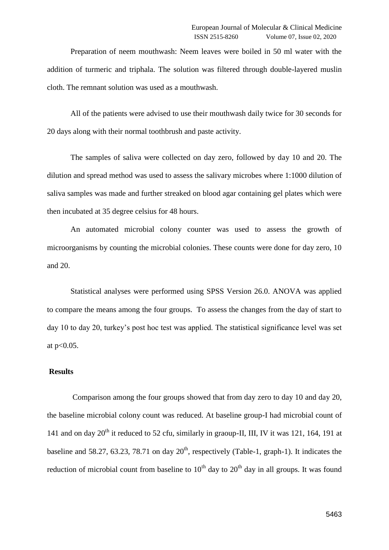Preparation of neem mouthwash: Neem leaves were boiled in 50 ml water with the addition of turmeric and triphala. The solution was filtered through double-layered muslin cloth. The remnant solution was used as a mouthwash.

All of the patients were advised to use their mouthwash daily twice for 30 seconds for 20 days along with their normal toothbrush and paste activity.

The samples of saliva were collected on day zero, followed by day 10 and 20. The dilution and spread method was used to assess the salivary microbes where 1:1000 dilution of saliva samples was made and further streaked on blood agar containing gel plates which were then incubated at 35 degree celsius for 48 hours.

An automated microbial colony counter was used to assess the growth of microorganisms by counting the microbial colonies. These counts were done for day zero, 10 and 20.

Statistical analyses were performed using SPSS Version 26.0. ANOVA was applied to compare the means among the four groups. To assess the changes from the day of start to day 10 to day 20, turkey's post hoc test was applied. The statistical significance level was set at p<0.05.

# **Results**

Comparison among the four groups showed that from day zero to day 10 and day 20, the baseline microbial colony count was reduced. At baseline group-I had microbial count of 141 and on day  $20<sup>th</sup>$  it reduced to 52 cfu, similarly in graoup-II, III, IV it was 121, 164, 191 at baseline and 58.27, 63.23, 78.71 on day  $20<sup>th</sup>$ , respectively (Table-1, graph-1). It indicates the reduction of microbial count from baseline to  $10<sup>th</sup>$  day to  $20<sup>th</sup>$  day in all groups. It was found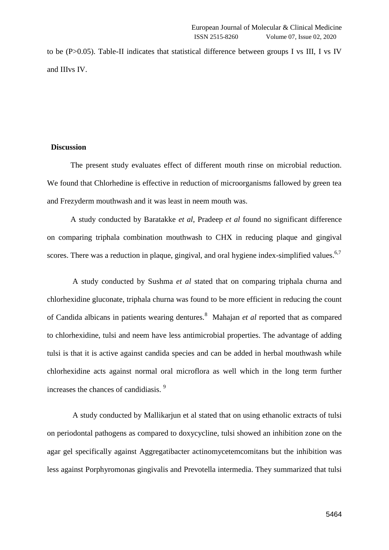to be (P>0.05). Table-II indicates that statistical difference between groups I vs III, I vs IV and IIIvs IV.

# **Discussion**

The present study evaluates effect of different mouth rinse on microbial reduction. We found that Chlorhedine is effective in reduction of microorganisms fallowed by green tea and Frezyderm mouthwash and it was least in neem mouth was.

A study conducted by Baratakke *et al*, Pradeep *et al* found no significant difference on comparing triphala combination mouthwash to CHX in reducing plaque and gingival scores. There was a reduction in plaque, gingival, and oral hygiene index-simplified values.<sup>6,7</sup>

A study conducted by Sushma *et al* stated that on comparing triphala churna and chlorhexidine gluconate, triphala churna was found to be more efficient in reducing the count of Candida albicans in patients wearing dentures.<sup>8</sup> Mahajan *et al* reported that as compared to chlorhexidine, tulsi and neem have less antimicrobial properties. The advantage of adding tulsi is that it is active against candida species and can be added in herbal mouthwash while chlorhexidine acts against normal oral microflora as well which in the long term further increases the chances of candidiasis. <sup>9</sup>

A study conducted by Mallikarjun et al stated that on using ethanolic extracts of tulsi on periodontal pathogens as compared to doxycycline, tulsi showed an inhibition zone on the agar gel specifically against Aggregatibacter actinomycetemcomitans but the inhibition was less against Porphyromonas gingivalis and Prevotella intermedia. They summarized that tulsi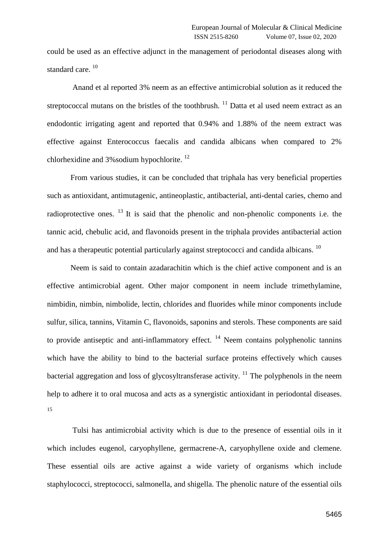could be used as an effective adjunct in the management of periodontal diseases along with standard care.<sup>10</sup>

Anand et al reported 3% neem as an effective antimicrobial solution as it reduced the streptococcal mutans on the bristles of the toothbrush.  $^{11}$  Datta et al used neem extract as an endodontic irrigating agent and reported that 0.94% and 1.88% of the neem extract was effective against Enterococcus faecalis and candida albicans when compared to 2% chlorhexidine and  $3\%$  sodium hypochlorite.  $^{12}$ 

From various studies, it can be concluded that triphala has very beneficial properties such as antioxidant, antimutagenic, antineoplastic, antibacterial, anti-dental caries, chemo and radioprotective ones.  $^{13}$  It is said that the phenolic and non-phenolic components i.e. the tannic acid, chebulic acid, and flavonoids present in the triphala provides antibacterial action and has a therapeutic potential particularly against streptococci and candida albicans.<sup>10</sup>

Neem is said to contain azadarachitin which is the chief active component and is an effective antimicrobial agent. Other major component in neem include trimethylamine, nimbidin, nimbin, nimbolide, lectin, chlorides and fluorides while minor components include sulfur, silica, tannins, Vitamin C, flavonoids, saponins and sterols. These components are said to provide antiseptic and anti-inflammatory effect.  $14$  Neem contains polyphenolic tannins which have the ability to bind to the bacterial surface proteins effectively which causes bacterial aggregation and loss of glycosyltransferase activity.  $^{11}$  The polyphenols in the neem help to adhere it to oral mucosa and acts as a synergistic antioxidant in periodontal diseases. 15

Tulsi has antimicrobial activity which is due to the presence of essential oils in it which includes eugenol, caryophyllene, germacrene-A, caryophyllene oxide and clemene. These essential oils are active against a wide variety of organisms which include staphylococci, streptococci, salmonella, and shigella. The phenolic nature of the essential oils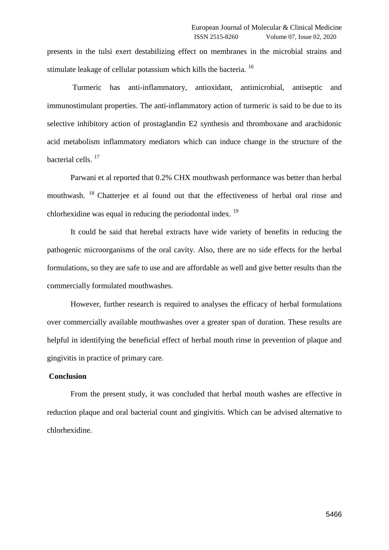presents in the tulsi exert destabilizing effect on membranes in the microbial strains and stimulate leakage of cellular potassium which kills the bacteria.<sup>16</sup>

Turmeric has anti-inflammatory, antioxidant, antimicrobial, antiseptic and immunostimulant properties. The anti-inflammatory action of turmeric is said to be due to its selective inhibitory action of prostaglandin E2 synthesis and thromboxane and arachidonic acid metabolism inflammatory mediators which can induce change in the structure of the bacterial cells.<sup>17</sup>

Parwani et al reported that 0.2% CHX mouthwash performance was better than herbal mouthwash. <sup>18</sup> Chatterjee et al found out that the effectiveness of herbal oral rinse and chlorhexidine was equal in reducing the periodontal index.  $^{19}$ 

It could be said that herebal extracts have wide variety of benefits in reducing the pathogenic microorganisms of the oral cavity. Also, there are no side effects for the herbal formulations, so they are safe to use and are affordable as well and give better results than the commercially formulated mouthwashes.

However, further research is required to analyses the efficacy of herbal formulations over commercially available mouthwashes over a greater span of duration. These results are helpful in identifying the beneficial effect of herbal mouth rinse in prevention of plaque and gingivitis in practice of primary care.

# **Conclusion**

From the present study, it was concluded that herbal mouth washes are effective in reduction plaque and oral bacterial count and gingivitis. Which can be advised alternative to chlorhexidine.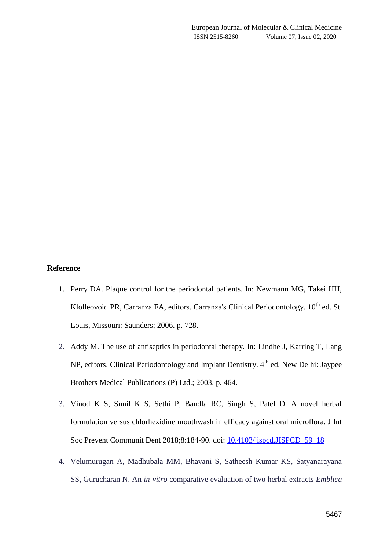# **Reference**

- 1. Perry DA. Plaque control for the periodontal patients. In: Newmann MG, Takei HH, Klolleovoid PR, Carranza FA, editors. Carranza's Clinical Periodontology. 10<sup>th</sup> ed. St. Louis, Missouri: Saunders; 2006. p. 728.
- 2. Addy M. The use of antiseptics in periodontal therapy. In: Lindhe J, Karring T, Lang NP, editors. Clinical Periodontology and Implant Dentistry. 4<sup>th</sup> ed. New Delhi: Jaypee Brothers Medical Publications (P) Ltd.; 2003. p. 464.
- 3. Vinod K S, Sunil K S, Sethi P, Bandla RC, Singh S, Patel D. A novel herbal formulation versus chlorhexidine mouthwash in efficacy against oral microflora. J Int Soc Prevent Communit Dent 2018;8:184-90. doi: [10.4103/jispcd.JISPCD\\_59\\_18](https://dx.doi.org/10.4103%2Fjispcd.JISPCD_59_18)
- 4. Velumurugan A, Madhubala MM, Bhavani S, Satheesh Kumar KS, Satyanarayana SS, Gurucharan N. An *in-vitro* comparative evaluation of two herbal extracts *Emblica*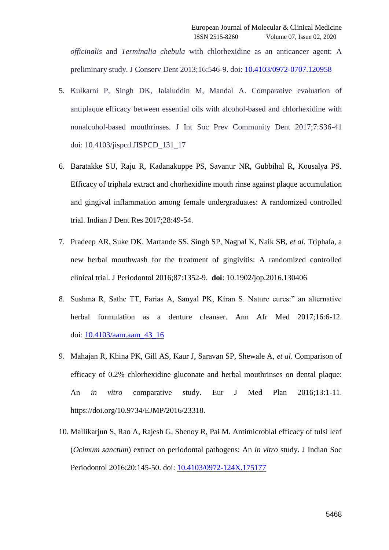*officinalis* and *Terminalia chebula* with chlorhexidine as an anticancer agent: A preliminary study. J Conserv Dent 2013;16:546-9. doi: [10.4103/0972-0707.120958](https://dx.doi.org/10.4103%2F0972-0707.120958)

- 5. Kulkarni P, Singh DK, Jalaluddin M, Mandal A. Comparative evaluation of antiplaque efficacy between essential oils with alcohol-based and chlorhexidine with nonalcohol-based mouthrinses. J Int Soc Prev Community Dent 2017;7:S36-41 doi: 10.4103/jispcd.JISPCD\_131\_17
- 6. Baratakke SU, Raju R, Kadanakuppe PS, Savanur NR, Gubbihal R, Kousalya PS. Efficacy of triphala extract and chorhexidine mouth rinse against plaque accumulation and gingival inflammation among female undergraduates: A randomized controlled trial. Indian J Dent Res 2017;28:49-54.
- 7. Pradeep AR, Suke DK, Martande SS, Singh SP, Nagpal K, Naik SB, *et al.* Triphala, a new herbal mouthwash for the treatment of gingivitis: A randomized controlled clinical trial. J Periodontol 2016;87:1352-9. **doi**: 10.1902/jop.2016.130406
- 8. Sushma R, Sathe TT, Farias A, Sanyal PK, Kiran S. Nature cures:" an alternative herbal formulation as a denture cleanser. Ann Afr Med 2017;16:6-12. doi: [10.4103/aam.aam\\_43\\_16](https://dx.doi.org/10.4103%2Faam.aam_43_16)
- 9. Mahajan R, Khina PK, Gill AS, Kaur J, Saravan SP, Shewale A, *et al*. Comparison of efficacy of 0.2% chlorhexidine gluconate and herbal mouthrinses on dental plaque: An *in vitro* comparative study. Eur J Med Plan 2016;13:1-11. https://doi.org/10.9734/EJMP/2016/23318.
- 10. Mallikarjun S, Rao A, Rajesh G, Shenoy R, Pai M. Antimicrobial efficacy of tulsi leaf (*Ocimum sanctum*) extract on periodontal pathogens: An *in vitro* study. J Indian Soc Periodontol 2016;20:145-50. doi: [10.4103/0972-124X.175177](https://dx.doi.org/10.4103%2F0972-124X.175177)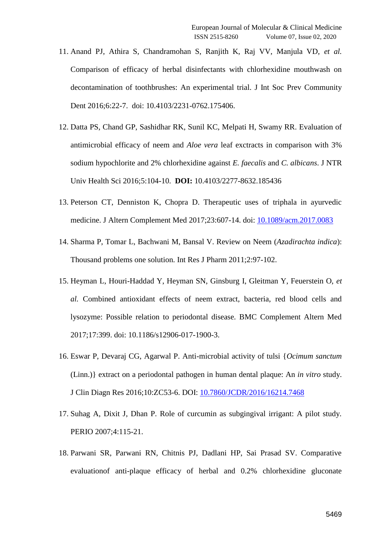- 11. Anand PJ, Athira S, Chandramohan S, Ranjith K, Raj VV, Manjula VD, *et al.* Comparison of efficacy of herbal disinfectants with chlorhexidine mouthwash on decontamination of toothbrushes: An experimental trial. J Int Soc Prev Community Dent 2016;6:22-7. doi: 10.4103/2231-0762.175406.
- 12. Datta PS, Chand GP, Sashidhar RK, Sunil KC, Melpati H, Swamy RR. Evaluation of antimicrobial efficacy of neem and *Aloe vera* leaf exctracts in comparison with 3% sodium hypochlorite and 2% chlorhexidine against *E. faecalis* and *C. albicans*. J NTR Univ Health Sci 2016;5:104-10. **DOI:** 10.4103/2277-8632.185436
- 13. Peterson CT, Denniston K, Chopra D. Therapeutic uses of triphala in ayurvedic medicine. J Altern Complement Med 2017;23:607-14. doi: [10.1089/acm.2017.0083](https://dx.doi.org/10.1089%2Facm.2017.0083)
- 14. Sharma P, Tomar L, Bachwani M, Bansal V. Review on Neem (*Azadirachta indica*): Thousand problems one solution. Int Res J Pharm 2011;2:97-102.
- 15. Heyman L, Houri-Haddad Y, Heyman SN, Ginsburg I, Gleitman Y, Feuerstein O, *et al.* Combined antioxidant effects of neem extract, bacteria, red blood cells and lysozyme: Possible relation to periodontal disease. BMC Complement Altern Med 2017;17:399. doi: 10.1186/s12906-017-1900-3.
- 16. Eswar P, Devaraj CG, Agarwal P. Anti-microbial activity of tulsi {*Ocimum sanctum* (Linn.)} extract on a periodontal pathogen in human dental plaque: An *in vitro* study. J Clin Diagn Res 2016;10:ZC53-6. DOI: [10.7860/JCDR/2016/16214.7468](https://doi.org/10.7860/jcdr/2016/16214.7468)
- 17. Suhag A, Dixit J, Dhan P. Role of curcumin as subgingival irrigant: A pilot study. PERIO 2007;4:115-21.
- 18. Parwani SR, Parwani RN, Chitnis PJ, Dadlani HP, Sai Prasad SV. Comparative evaluationof anti-plaque efficacy of herbal and 0.2% chlorhexidine gluconate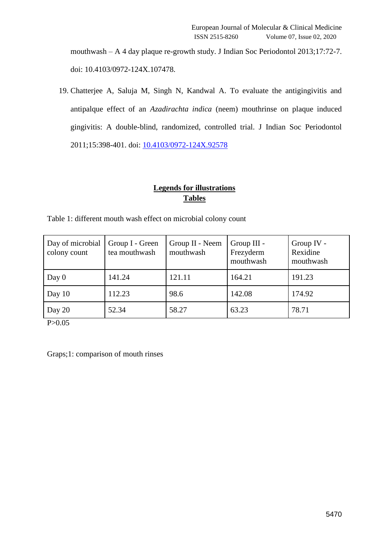mouthwash – A 4 day plaque re-growth study. J Indian Soc Periodontol 2013;17:72-7. doi: 10.4103/0972-124X.107478.

19. Chatterjee A, Saluja M, Singh N, Kandwal A. To evaluate the antigingivitis and antipalque effect of an *Azadirachta indica* (neem) mouthrinse on plaque induced gingivitis: A double-blind, randomized, controlled trial. J Indian Soc Periodontol 2011;15:398-401. doi: [10.4103/0972-124X.92578](https://dx.doi.org/10.4103%2F0972-124X.92578)

# **Legends for illustrations Tables**

| Day of microbial<br>colony count | Group I - Green<br>tea mouthwash | Group II - Neem<br>mouthwash | Group III -<br>Frezyderm<br>mouthwash | Group IV -<br>Rexidine<br>mouthwash |
|----------------------------------|----------------------------------|------------------------------|---------------------------------------|-------------------------------------|
| Day $0$                          | 141.24                           | 121.11                       | 164.21                                | 191.23                              |
| Day $10$                         | 112.23                           | 98.6                         | 142.08                                | 174.92                              |
| Day 20                           | 52.34                            | 58.27                        | 63.23                                 | 78.71                               |

Table 1: different mouth wash effect on microbial colony count

P>0.05

Graps;1: comparison of mouth rinses